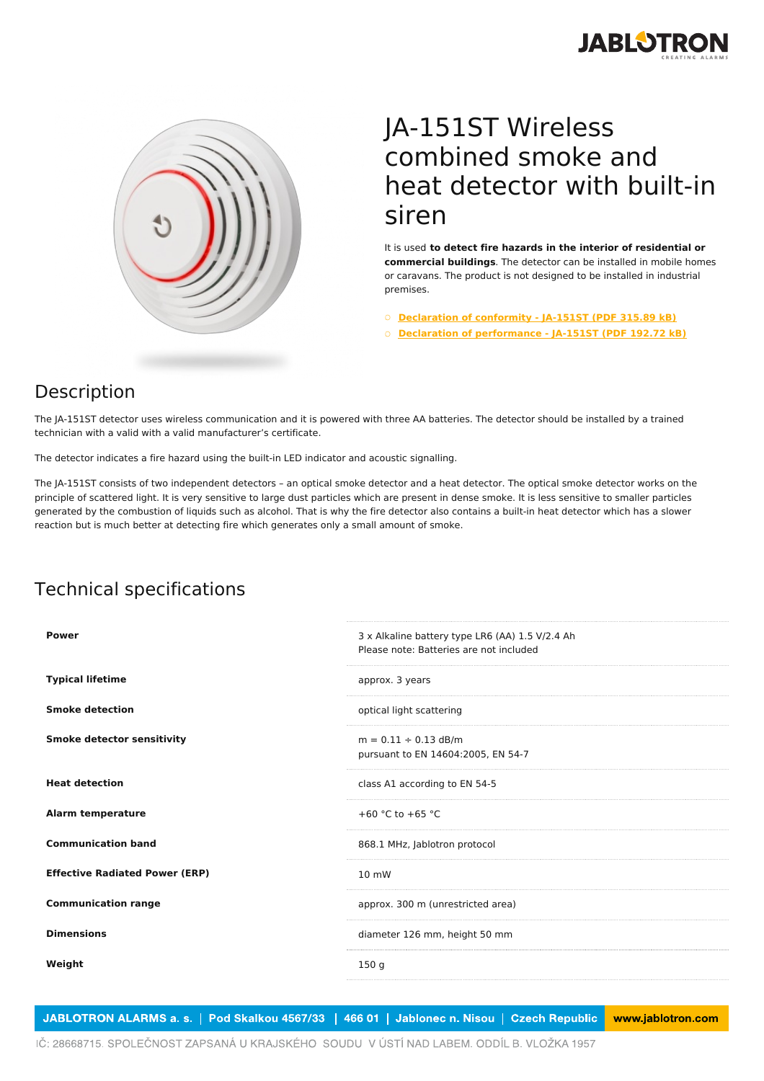



## JA-151ST Wireless combined smoke and heat detector with built-in siren

It is used **to detect fire hazards in the interior of residential or commercial buildings**. The detector can be installed in mobile homes or caravans. The product is not designed to be installed in industrial premises.

○ **[Declaration](https://www.jablotron.com/en/template/product/400/?file=0&jt_id=17769&hash=e5KerE&do=downloadCertificate) of conformity - JA-151ST (PDF 315.89 kB)**

○ **Declaration of [performance](https://www.jablotron.com/en/template/product/400/?file=1&jt_id=17769&hash=e5KerE&do=downloadCertificate) - JA-151ST (PDF 192.72 kB)**

## Description

The JA-151ST detector uses wireless communication and it is powered with three AA batteries. The detector should be installed by a trained technician with a valid with a valid manufacturer's certificate.

The detector indicates a fire hazard using the built-in LED indicator and acoustic signalling.

The JA-151ST consists of two independent detectors – an optical smoke detector and a heat detector. The optical smoke detector works on the principle of scattered light. It is very sensitive to large dust particles which are present in dense smoke. It is less sensitive to smaller particles generated by the combustion of liquids such as alcohol. That is why the fire detector also contains a built-in heat detector which has a slower reaction but is much better at detecting fire which generates only a small amount of smoke.

## Technical specifications

| <b>Power</b>                          | 3 x Alkaline battery type LR6 (AA) 1.5 V/2.4 Ah<br>Please note: Batteries are not included |
|---------------------------------------|--------------------------------------------------------------------------------------------|
| <b>Typical lifetime</b>               | approx. 3 years                                                                            |
| <b>Smoke detection</b>                | optical light scattering                                                                   |
| <b>Smoke detector sensitivity</b>     | $m = 0.11 \div 0.13$ dB/m<br>pursuant to EN 14604:2005, EN 54-7                            |
| <b>Heat detection</b>                 | class A1 according to EN 54-5                                                              |
| <b>Alarm temperature</b>              | +60 °C to +65 °C                                                                           |
| <b>Communication band</b>             | 868.1 MHz, Jablotron protocol                                                              |
| <b>Effective Radiated Power (ERP)</b> | $10 \, \text{mW}$                                                                          |
| <b>Communication range</b>            | approx. 300 m (unrestricted area)                                                          |
| <b>Dimensions</b>                     | diameter 126 mm, height 50 mm                                                              |
| Weight                                | 150q                                                                                       |
|                                       |                                                                                            |

JABLOTRON ALARMS a. s. | Pod Skalkou 4567/33 | 466 01 | Jablonec n. Nisou | Czech Republic www.jablotron.com